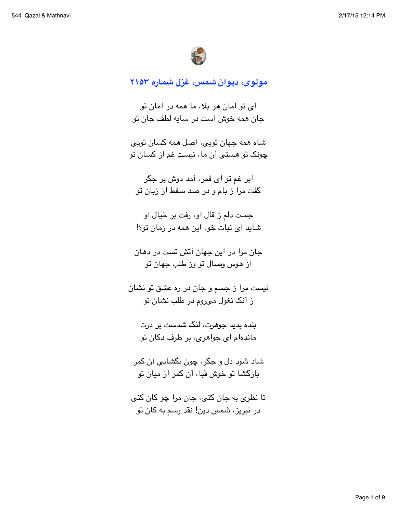

مولوی، دیوان شمس، غزل شماره ۲۱۵۳

ای تو امان هر بلا، ما همه در امان تو جان همه خوش است در سایه لطف جان تو

شاه همه حهان توپی، اصل همه کسان توپی چونک تو هستی آن ما، نیست غم از کسان تو

ابر غم تو ا*ی* قمر، آمد دوش بر جگر گفت مرا ز بام و در صد سقط از زبان تو

جست دلم ز قال او، رفت بر خيال او شاید ای نبات خو، این همه در زمان تو؟!

جان مرا در این جهان آتش تست در دهان از هوس وصال تو وز طلب جهان تو

نيست مرا ز جسم و جان در ره عشق تو نشان ز آنک نغول میروم در طلب نشان تو

بنده بدید جوهرت، لنگ شدست بر درت ماندهام ای جواهری، بر طرف دکان تو

شاد شوڊ دل و حگر ، چون بگشايي آن کمر بازگشا تو خوش قبا، آن کمر از میان تو

تا نظري به جان کٽي، جان مرا ڇو کان کٽي در تبریز، شمس دین! نقد رسم به کان تو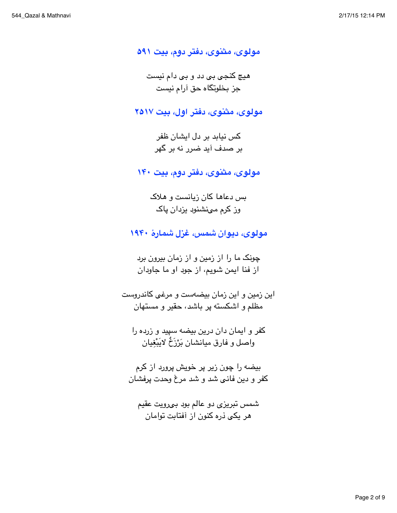مولوی، مثنوی، دفتر دوم، بیت ۵۹۱

هيچ کنجي بي دد و بي دام نيست جز بخلوتگاه حق آرام نیست

مولوی، مثنوی، دفتر اول، بیت ۲۵۱۷

کس نباید پر دل ایشان ظفر بر صدف آید ضرر نه بر گهر

مولوی، مثنوی، دفتر دوم، بیت ۱۴۰

بس دعاها کان زیانست و هلاک وز کرم میشنود بزدان یاک

مولوی، دیوان شمس، غزل شمارهٔ ۱۹۴۰

چونک ما را از زمین و از زمان بیرون برد از فنا ایمن شویم، از جود او ما جاودان

این زمین و این زمان بیضهست و مرغی کاندروست مظلم و اشکسته پر باشد، حقیر و مستهان

کفر و ایمان دان درین بیضه سپید و زرده را وإصل و فارق ميانشان بَرْزَخٌ لايَبْغيان

بيضه را چون زير پر خويش پرورد از كرم کفر و دین فانی شد و شد مرغ وحدت پرفشان

شمس تبریزی دو عالم بود بهرویت عقیم هر یکی ذره کنون از آفتابت توامان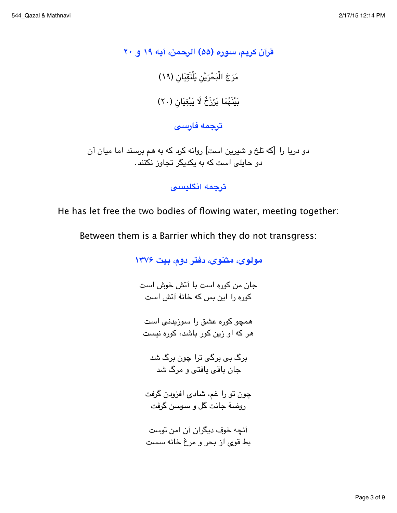قرآن كريم، سوره (۵۵) الرحمن، آيه ۱۹ و ۲۰ مَرَجَ الْبَحْرَيْنِ يَلْتَقِيَانِ (١٩) بَيْنَهُمَا بَرْزَخٌ لَا يَبْغِيَانِ (٢٠)

ترجمه فارسى

دو دریا را [که تلخ و شیرین است] روانه کرد که به هم برسند اما میان آن دو حایلی است که به یکدیگر تجاوز نکنند.

ترجمه انكليسي

He has let free the two bodies of flowing water, meeting together:

Between them is a Barrier which they do not transgress:

مولوی، مثنوی، دفتر دوم، بیت ۱۳۷۶ حان من كوره است يا آتش خوش است کوره را این پس که خانهٔ آتش است همچو کوره عشق را سوزیدنی است هر که او زین کور باشد، کوره نیست پر گ پی پر گی ترا چون پر گ شد جان باقی یافتی و مرگ شد چون تو را غم، شادی افزودن گرفت روضهٔ جانت گل و سوسن گرفت آنچه خوف دیگران آن امن توست بط قوی از بحر و مرغ خانه سست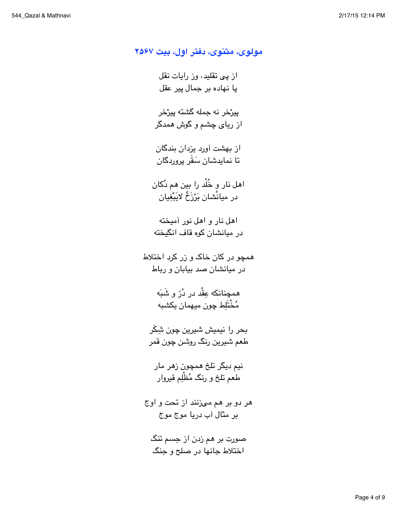مولوی، مثنوی، دفتر اول، بیت ۲۵۶۷ از یبی تقلید، وز رایات نقل پا نهاده بر جمال پیر عقل ييرْخر نه جمله گشته ييرْخر از ریای چشم و گوش همدگر از بهشت آورد بزدان بندگان تا نمايدشان سَقُر پرورڊگان اهل نار و خُلْد را بین هم دُکان در ميانْشان بَرْزَخُ لابَيْغْيان اهل نار و اهل نور آمیخته در میانشان کوه قاف انگیخته همچو در کان خاک و زر کرد اختلاط در میانشان صد بیابان و رباط همچنانکه عِقْد در دُرّ و شَبَه مُخْتَلِط چون ميهمان يكشبه بحر را نيميش شيرين چون شِكَر طعم شيرين رنگ روشن چون قمر نيم ديگر تلخ همچون زهر مار طعم تلخ و رنگ مُظْلِم قيروار هر دو بر هم میزنند از تحت و اوج بر مثال آب دريا موج موج صورت بر هم زدن از جسم تنگ اختلاط جانها در صلح و جنگ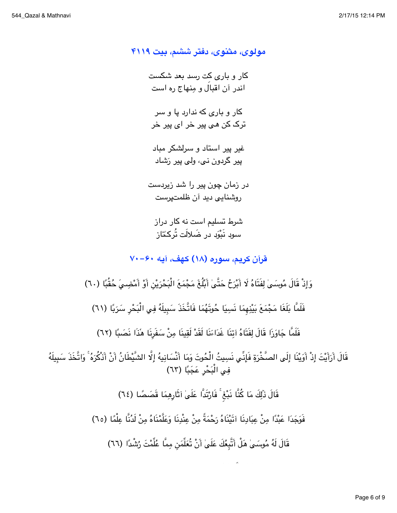مولوی، مثنوی، دفتر ششم، بیت ۴۱۱۹ کار و پارې کت رسد بعد شکست اندر آن اقبالَ و مِنهاج ره است کار و پارې که ندارد يا و سر ترک کن می پیر خر ای پیر خر غیر پیر استاد و سرلشکر میاد پیر گردون نبی، ولی پیر رَشاد در زمان چون پیر را شد زیردست روشنایی دید آن ظلمتپرست شرط تسلیم است نه کار دراز سوڊ نَبْوَڊ در ضَلالَت تُرکـُتاز قرآن كريم، سوره (١٨) كهف، آيه ٤٠-٧٠ وَإِذْ قَالَ مُوسَىٰ لِفَتَاهُ لَا أَبْرَحُ حَتَّىٰ أَبْلُغَ مَجْمَعَ الْبَحْرَيْنِ أَوْ أَمْضِيَ حُقُبًا (٦٠) فَلَمَّا بَلَغَا مَجْمَعَ بَيْنِهمَا نَسِيَا حُوتَهُمَا فَاتَّخَذَ سَبِيلَهُ فِي الْبَحْرِ سَرَبًا (٦١) فَلَمَّا جَاوَزَا قَالَ لِفَتَاهُ آتِنَا غَدَاءَنَا لَقَدْ لَقِينَا مِنْ سَفَرِنَا هَذَا نَصَبًا (٦٢) قَالَ أَرَأَيْتَ إِذْ أَوَيْنَا إِلَى الصَّخْرَةِ فَإِنِّي نَسِيتُ الْحُوتَ وَمَا أَنْسَانِيهُ إِلَّا الشَّيْطَانُ أَنْ أَذْكُرَهُ ۚ وَاتَّخَذَ سَبِيلَهُ فِي الْبَحْرِ عَجَبًا (٦٣) قَالَ ذَٰلِكَ مَا كُنَّا نَبْغ<sup>ِ ۚ</sup> فَارْتَدَّا عَلَىٰ اَثَارِهِمَا قَصَصًا (٦٤) فَوَجَدَا عَبْدًا مِنْ عِبَادِنَا اَتَيْنَاهُ رَحْمَةً مِنْ عِنْدِنَا وَعَلَّمْنَاهُ مِنْ لَدُنَّا عِلْمًا (٦٥) قَالَ لَهُ مُوسَىٰ هَلْ أَتَّبِعُكَ عَلَىٰ أَنْ تُعَلِّمَن مِمَّا عُلِّمْتَ رُشْدًا (٦٦)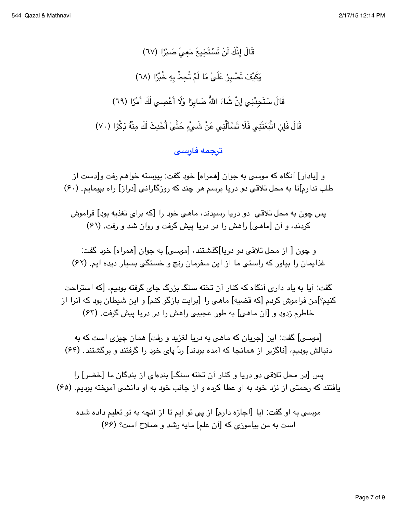قَالَ إِنَّكَ لَنْ تَسْتَطِيعَ مَعِيَ صَبْرًا (٦٧) وَكَيْفَ تَصْبِرُ عَلَىٰ مَا لَمْ تُحِطْ بِهِ خُبْرًا (٦٨) قَالَ سَتَجِدُّنِي إِنْ شَاءَ اللهُّ صَابِرًا وَلَا أَعْصِي لَكَ أَمْرًا (٦٩) قَالَ فَإِنِ اتَّبَعْتَنِي فَلَا تَسْأَلْنِي عَنْ شَيْءٍ حَتَّىٰ أُحْدِثَ لَكَ مِنْهُ ذِكْرًا (٧٠)

## <mark>ترجمه فارسی</mark>

و [يادآر] آنگاه كه موسى به جوان [همراه] خود گفت: پيوسته خواهم رفت و[دست از طلب ندارم]تا به محل تلاقی دو دریا برسم هر چند که روزگارانی [دراز] راه بپیمایم. (۶۰)

يس چون به محل تلاقي -دو دريا رسندند، ماهي خود را [كه براي تغذيه بود] فراموش کردند، و آن [ماهی] راهش را در دریا پیش گرفت و روان شد و رفت. (۶۱)

و چون [ از محل تلاقی دو دریا]گذشتند، [موسی] به جوان [همراه] خود گفت: غذایمان را بیاور که راستی ما از این سفرمان رنج و خستگی بسیار دیده ایم. (۶۲)

گفت: آیا به یاد داری آنگاه که کنار آن تخته سنگ بزرگ جای گرفته بودیم، [که استراحت كنيم؟]من فراموش كردم [كه قضيه] ماهي را [برايت بازگو كنم] و اين شيطان بود كه آنرا از خاطرم زدود و [آن ماهي] به طور عجیبی راهش را در دریا پیش گرفت. (۶۳)

[موسى] گفت: این [جریان که ماهی به دریا لغزید و رفت] همان چیزی است که به دنبالش بودیم، [ناگزیر از همانجا که آمده بودند] ردّ پای خود را گرفتند و برگشتند. (۶۴)

يس [در محل تلاقى دو دريا و كنار أن تخته سنگ] بندهاى از بندگان ما [خضر] را یافتند که رحمتی از نزد خود به او عطا کرده و از جانب خود به او دانشی آموخته بودیم. (۶۵)

موسی به او گفت: آیا [اجازه دارم] از پی تو آیم تا از آنچه به تو تعلیم داده شده است به من بياموزي كه [آن علم] مايه رشد و صلاح است؟ (۶۶)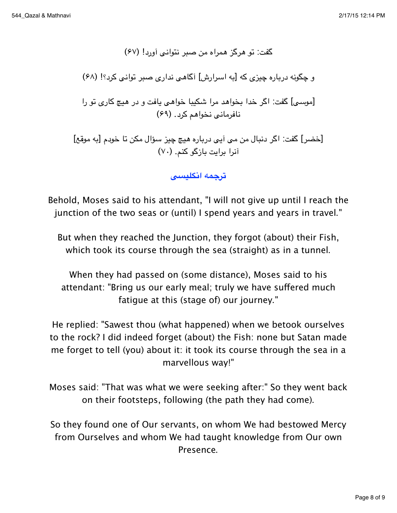گفت: تو هرگز همراه من صبر نتوانبي آورد! (۶۷) و چگونه دریاره چیزی که [به اسرارش] آگاهی نداری صبر توانی کرد؟! (۶۸) [موسى] گفت: اگر خدا بخواهد مرا شكيبا خواهى يافت و در هيچ كارى تو را نافرماني نخواهم كرد. (۶۹) [خضر] گفت: اگر دنبال من می آیی درباره هیچ چیز سؤال مکن تا خودم [به موقع] آنرا برایت بازگو کنم. (٧٠)

ترجمه انكليسي

Behold, Moses said to his attendant, "I will not give up until I reach the junction of the two seas or (until) I spend years and years in travel."

But when they reached the Junction, they forgot (about) their Fish, which took its course through the sea (straight) as in a tunnel.

When they had passed on (some distance), Moses said to his attendant: "Bring us our early meal; truly we have suffered much fatique at this (stage of) our journey."

He replied: "Sawest thou (what happened) when we betook ourselves to the rock? I did indeed forget (about) the Fish: none but Satan made me forget to tell (you) about it: it took its course through the sea in a marvellous way!"

Moses said: "That was what we were seeking after:" So they went back on their footsteps, following (the path they had come).

So they found one of Our servants, on whom We had bestowed Mercy from Ourselves and whom We had taught knowledge from Our own Presence.